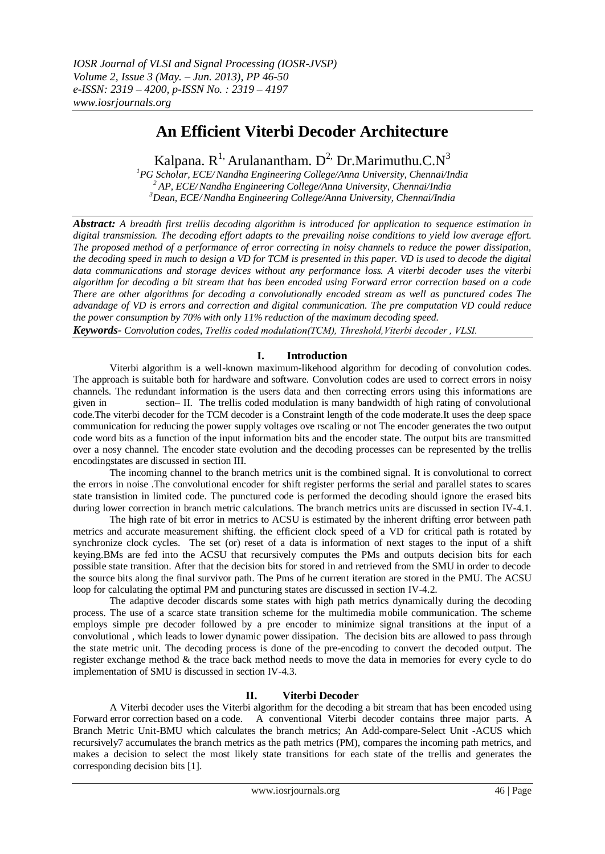# **An Efficient Viterbi Decoder Architecture**

Kalpana.  $R^{1}$ , Arulanantham.  $D^{2}$ , Dr.Marimuthu.C. $N^{3}$ 

*<sup>1</sup>PG Scholar, ECE/Nandha Engineering College/Anna University, Chennai/India <sup>2</sup> AP, ECE/Nandha Engineering College/Anna University, Chennai/India <sup>3</sup>Dean, ECE/Nandha Engineering College/Anna University, Chennai/India*

*Abstract: A breadth first trellis decoding algorithm is introduced for application to sequence estimation in digital transmission. The decoding effort adapts to the prevailing noise conditions to yield low average effort. The proposed method of a performance of error correcting in noisy channels to reduce the power dissipation, the decoding speed in much to design a VD for TCM is presented in this paper. VD is used to decode the digital data communications and storage devices without any performance loss. A viterbi decoder uses the viterbi algorithm for decoding a bit stream that has been encoded using Forward error correction based on a code There are other algorithms for decoding a convolutionally encoded stream as well as punctured codes The advandage of VD is errors and correction and digital communication. The pre computation VD could reduce the power consumption by 70% with only 11% reduction of the maximum decoding speed.*

*Keywords- Convolution codes, Trellis coded modulation(TCM), Threshold,Viterbi decoder , VLSI.*

# **I. Introduction**

 Viterbi algorithm is a well-known maximum-likehood algorithm for decoding of convolution codes. The approach is suitable both for hardware and software. Convolution codes are used to correct errors in noisy channels. The redundant information is the users data and then correcting errors using this informations are given in section– II. The trellis coded modulation is many bandwidth of high rating of convolutional code.The viterbi decoder for the TCM decoder is a Constraint length of the code moderate.It uses the deep space communication for reducing the power supply voltages ove rscaling or not The encoder generates the two output code word bits as a function of the input information bits and the encoder state. The output bits are transmitted over a nosy channel. The encoder state evolution and the decoding processes can be represented by the trellis encodingstates are discussed in section III.

 The incoming channel to the branch metrics unit is the combined signal. It is convolutional to correct the errors in noise .The convolutional encoder for shift register performs the serial and parallel states to scares state transistion in limited code. The punctured code is performed the decoding should ignore the erased bits during lower correction in branch metric calculations. The branch metrics units are discussed in section IV-4.1.

The high rate of bit error in metrics to ACSU is estimated by the inherent drifting error between path metrics and accurate measurement shifting. the efficient clock speed of a VD for critical path is rotated by synchronize clock cycles. The set (or) reset of a data is information of next stages to the input of a shift keying.BMs are fed into the ACSU that recursively computes the PMs and outputs decision bits for each possible state transition. After that the decision bits for stored in and retrieved from the SMU in order to decode the source bits along the final survivor path. The Pms of he current iteration are stored in the PMU. The ACSU loop for calculating the optimal PM and puncturing states are discussed in section IV-4.2.

 The adaptive decoder discards some states with high path metrics dynamically during the decoding process. The use of a scarce state transition scheme for the multimedia mobile communication. The scheme employs simple pre decoder followed by a pre encoder to minimize signal transitions at the input of a convolutional , which leads to lower dynamic power dissipation. The decision bits are allowed to pass through the state metric unit. The decoding process is done of the pre-encoding to convert the decoded output. The register exchange method & the trace back method needs to move the data in memories for every cycle to do implementation of SMU is discussed in section IV-4.3.

# **II. Viterbi Decoder**

 A Viterbi decoder uses the Viterbi algorithm for the decoding a bit stream that has been encoded using Forward error correction based on a code. A conventional Viterbi decoder contains three major parts. A Branch Metric Unit-BMU which calculates the branch metrics; An Add-compare-Select Unit -ACUS which recursively7 accumulates the branch metrics as the path metrics (PM), compares the incoming path metrics, and makes a decision to select the most likely state transitions for each state of the trellis and generates the corresponding decision bits [1].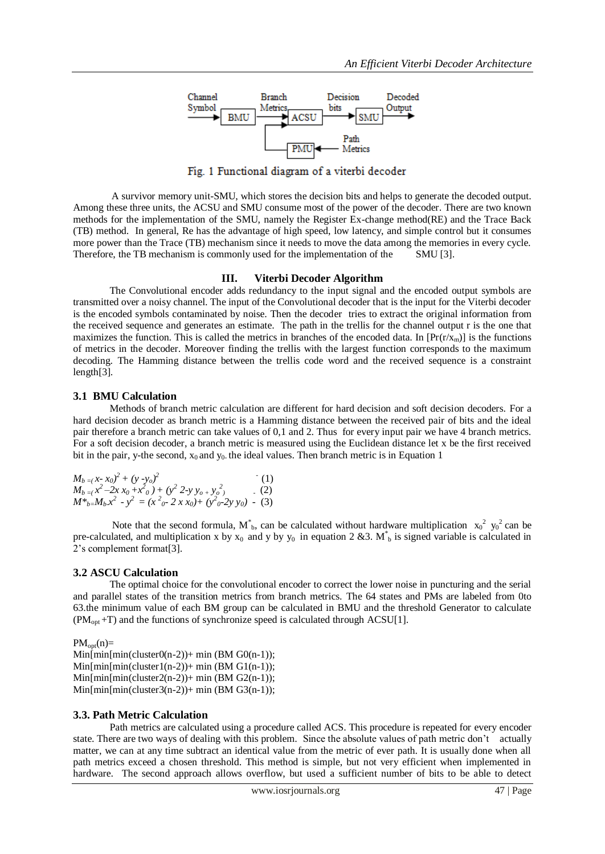

Fig. 1 Functional diagram of a viterbi decoder

 A survivor memory unit-SMU, which stores the decision bits and helps to generate the decoded output. Among these three units, the ACSU and SMU consume most of the power of the decoder. There are two known methods for the implementation of the SMU, namely the Register Ex-change method(RE) and the Trace Back (TB) method. In general, Re has the advantage of high speed, low latency, and simple control but it consumes more power than the Trace (TB) mechanism since it needs to move the data among the memories in every cycle. Therefore, the TB mechanism is commonly used for the implementation of the SMU [3].

#### **III. Viterbi Decoder Algorithm**

 The Convolutional encoder adds redundancy to the input signal and the encoded output symbols are transmitted over a noisy channel. The input of the Convolutional decoder that is the input for the Viterbi decoder is the encoded symbols contaminated by noise. Then the decoder tries to extract the original information from the received sequence and generates an estimate. The path in the trellis for the channel output r is the one that maximizes the function. This is called the metrics in branches of the encoded data. In  $[Pr(r/x<sub>m</sub>)]$  is the functions of metrics in the decoder. Moreover finding the trellis with the largest function corresponds to the maximum decoding. The Hamming distance between the trellis code word and the received sequence is a constraint length[3].

#### **3.1 BMU Calculation**

 Methods of branch metric calculation are different for hard decision and soft decision decoders. For a hard decision decoder as branch metric is a Hamming distance between the received pair of bits and the ideal pair therefore a branch metric can take values of 0,1 and 2. Thus for every input pair we have 4 branch metrics. For a soft decision decoder, a branch metric is measured using the Euclidean distance let x be the first received bit in the pair, y-the second,  $x_0$  and  $y_0$  the ideal values. Then branch metric is in Equation 1

$$
M_{b} = (x-x_0)^2 + (y-y_0)^2
$$
 (1)  
\n
$$
M_{b} = (x^2-2x)x_0 + x^20 + (y^2 2-y)y_0 + y_0^2
$$
 (2)  
\n
$$
M^*_{b} = M_b x^2 - y^2 = (x^2_0 - 2x x_0) + (y^2_0 - 2y y_0) - (3)
$$

Note that the second formula,  $M_{b}^{*}$ , can be calculated without hardware multiplication  $x_0^2 y_0^2$  can be pre-calculated, and multiplication x by  $x_0$  and y by  $y_0$  in equation 2 &3. M<sup>\*</sup><sub>b</sub> is signed variable is calculated in 2's complement format[3].

#### **3.2 ASCU Calculation**

 The optimal choice for the convolutional encoder to correct the lower noise in puncturing and the serial and parallel states of the transition metrics from branch metrics. The 64 states and PMs are labeled from 0to 63.the minimum value of each BM group can be calculated in BMU and the threshold Generator to calculate  $(PM<sub>opt</sub> + T)$  and the functions of synchronize speed is calculated through ACSU[1].

 $PM_{opt}(n) =$ 

 $Min[\min[\min(\text{clusterO}(n-2)) + \min(\text{BM }GO(n-1))$ ;  $Min[\min[\min(\text{cluster1}(n-2)) + \min(\text{BM G1}(n-1)))]$  $Min[min[min(cluster2(n-2)) + min(BM G2(n-1));$  $Min[min[min(cluster3(n-2)) + min(BM G3(n-1));$ 

#### **3.3. Path Metric Calculation**

Path metrics are calculated using a procedure called ACS. This procedure is repeated for every encoder state. There are two ways of dealing with this problem. Since the absolute values of path metric don't actually matter, we can at any time subtract an identical value from the metric of ever path. It is usually done when all path metrics exceed a chosen threshold. This method is simple, but not very efficient when implemented in hardware. The second approach allows overflow, but used a sufficient number of bits to be able to detect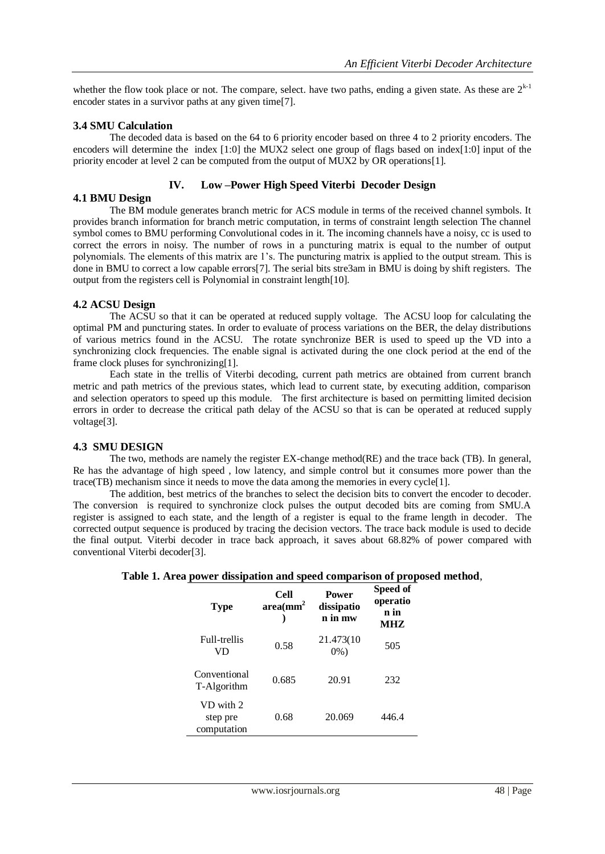whether the flow took place or not. The compare, select. have two paths, ending a given state. As these are  $2^{k-1}$ encoder states in a survivor paths at any given time[7].

#### **3.4 SMU Calculation**

 The decoded data is based on the 64 to 6 priority encoder based on three 4 to 2 priority encoders. The encoders will determine the index [1:0] the MUX2 select one group of flags based on index[1:0] input of the priority encoder at level 2 can be computed from the output of MUX2 by OR operations[1].

## **IV. Low –Power High Speed Viterbi Decoder Design**

**4.1 BMU Design**

 The BM module generates branch metric for ACS module in terms of the received channel symbols. It provides branch information for branch metric computation, in terms of constraint length selection The channel symbol comes to BMU performing Convolutional codes in it. The incoming channels have a noisy, cc is used to correct the errors in noisy. The number of rows in a puncturing matrix is equal to the number of output polynomials. The elements of this matrix are 1's. The puncturing matrix is applied to the output stream. This is done in BMU to correct a low capable errors[7]. The serial bits stre3am in BMU is doing by shift registers. The output from the registers cell is Polynomial in constraint length[10].

## **4.2 ACSU Design**

 The ACSU so that it can be operated at reduced supply voltage. The ACSU loop for calculating the optimal PM and puncturing states. In order to evaluate of process variations on the BER, the delay distributions of various metrics found in the ACSU. The rotate synchronize BER is used to speed up the VD into a synchronizing clock frequencies. The enable signal is activated during the one clock period at the end of the frame clock pluses for synchronizing[1].

Each state in the trellis of Viterbi decoding, current path metrics are obtained from current branch metric and path metrics of the previous states, which lead to current state, by executing addition, comparison and selection operators to speed up this module. The first architecture is based on permitting limited decision errors in order to decrease the critical path delay of the ACSU so that is can be operated at reduced supply voltage[3].

## **4.3 SMU DESIGN**

 The two, methods are namely the register EX-change method(RE) and the trace back (TB). In general, Re has the advantage of high speed , low latency, and simple control but it consumes more power than the trace(TB) mechanism since it needs to move the data among the memories in every cycle[1].

 The addition, best metrics of the branches to select the decision bits to convert the encoder to decoder. The conversion is required to synchronize clock pulses the output decoded bits are coming from SMU.A register is assigned to each state, and the length of a register is equal to the frame length in decoder. The corrected output sequence is produced by tracing the decision vectors. The trace back module is used to decide the final output. Viterbi decoder in trace back approach, it saves about 68.82% of power compared with conventional Viterbi decoder[3].

| Table 1. Area power dissipation and speed comparison of proposed method, |  |  |  |
|--------------------------------------------------------------------------|--|--|--|
|                                                                          |  |  |  |

| л.<br><b>Type</b>                    | Cell<br>area(mm <sup>2</sup> | <b>Power</b><br>dissipatio<br>n in mw | . .<br>Speed of<br>operatio<br>n in<br>MHZ |
|--------------------------------------|------------------------------|---------------------------------------|--------------------------------------------|
| Full-trellis<br>VD                   | 0.58                         | 21.473(10)<br>$0\%$ )                 | 505                                        |
| Conventional<br>T-Algorithm          | 0.685                        | 20.91                                 | 232                                        |
| VD with 2<br>step pre<br>computation | 0.68                         | 20.069                                | 446.4                                      |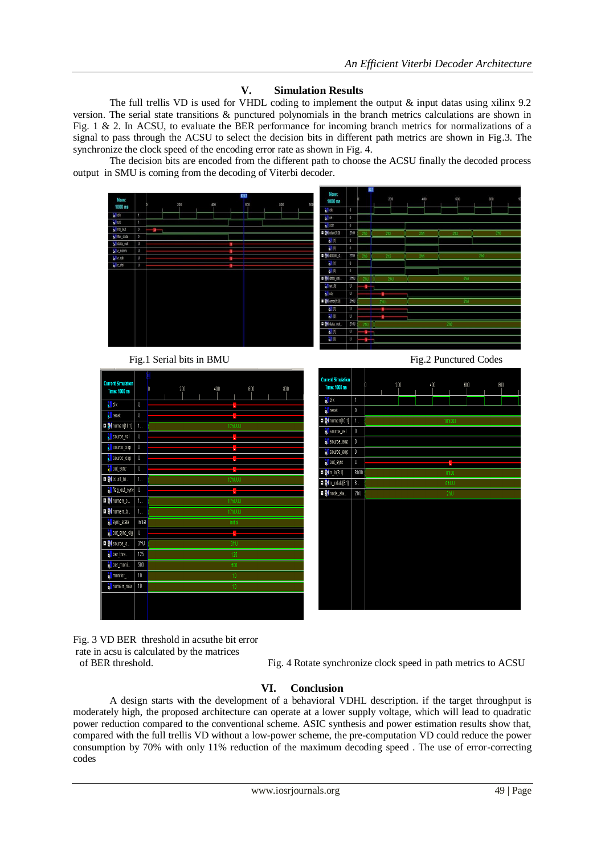## **V. Simulation Results**

The full trellis VD is used for VHDL coding to implement the output  $\&$  input datas using xilinx 9.2 version. The serial state transitions & punctured polynomials in the branch metrics calculations are shown in Fig. 1 & 2. In ACSU, to evaluate the BER performance for incoming branch metrics for normalizations of a signal to pass through the ACSU to select the decision bits in different path metrics are shown in Fig.3. The synchronize the clock speed of the encoding error rate as shown in Fig. 4.

 The decision bits are encoded from the different path to choose the ACSU finally the decoded process output in SMU is coming from the decoding of Viterbi decoder.



Fig. 3 VD BER threshold in acsuthe bit error rate in acsu is calculated by the matrices

of BER threshold. Fig. 4 Rotate synchronize clock speed in path metrics to ACSU

## **VI. Conclusion**

 A design starts with the development of a behavioral VDHL description. if the target throughput is moderately high, the proposed architecture can operate at a lower supply voltage, which will lead to quadratic power reduction compared to the conventional scheme. ASIC synthesis and power estimation results show that, compared with the full trellis VD without a low-power scheme, the pre-computation VD could reduce the power consumption by 70% with only 11% reduction of the maximum decoding speed . The use of error-correcting codes